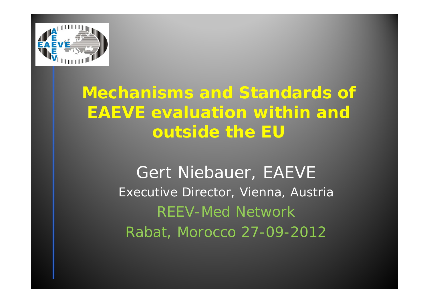

# **Mechanisms and Standards of EAEVE evaluation within and outside the EU**

Gert Niebauer, EAEVE Executive Director, Vienna, Austria REEV-Med Network Rabat, Morocco 27-09-2012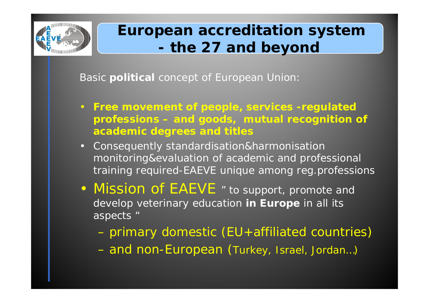

# **European accreditation system the 27 and beyond**

Basic **political** concept of European Union:

- **Free movement of people, services -regulated professions – and goods, mutual recognition of academic degrees and titles**
- Consequently *standardisation&harmonisation monitoring&evaluation of academic and professional training* required-EAEVE unique among reg.professions
- Mission of EAEVE *" to support, promote and develop veterinary education in Europe in all its aspects "*
	- primary domestic (EU+affiliated countries)
	- and non-European (Turkey, Israel, Jordan…)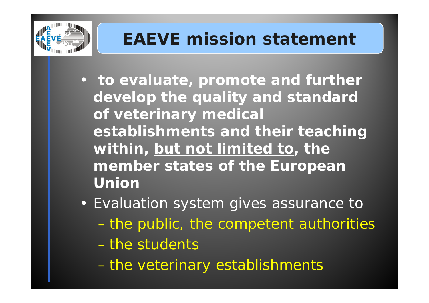

# **EAEVE mission statement**

- *to evaluate, promote and further develop the quality and standard of veterinary medical establishments and their teaching within, but not limited to, the member states of the European Union*
- Evaluation system gives assurance to the public, the competent authorities – the students
	- the veterinary establishments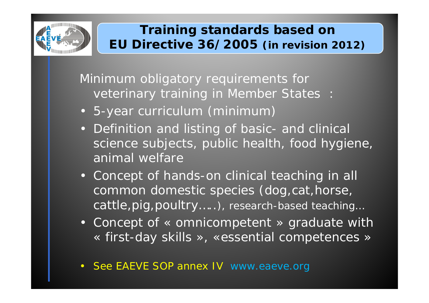

#### **Training standards based on EU Directive 36/2005** *(in revision 2012)*

Minimum obligatory requirements for veterinary training in Member States :

- 5-year curriculum (*minimum* )
- Definition and listing of basic- and clinical science subjects, public health, food hygiene, animal welfare
- Concept of hands-on clinical teaching in all common domestic species (dog,cat,horse, cattle,pig,poultry…..*), research-based teaching…*
- Concept of « omnicompetent » graduate with « first-day skills », «essential competences »
- •See EAEVE SOP annex IV www.eaeve.org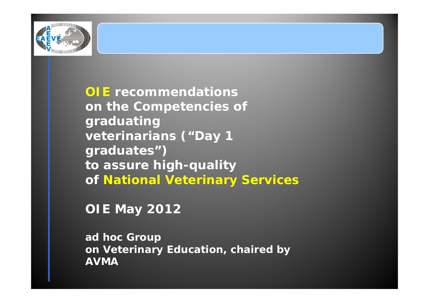

**OIE recommendations on the Competencies of graduating veterinarians ("Day 1 graduates") to assure high-quality of National Veterinary Services**

**OIE May 2012**

*ad hoc Group on Veterinary Education, chaired by AVMA*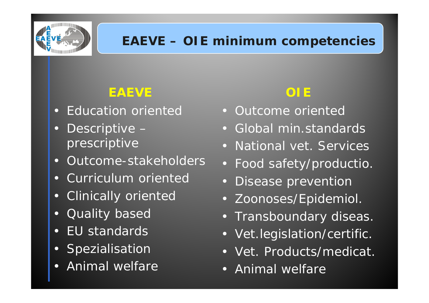

#### **EAEVE – OIE minimum competencies**

## **EAEVE**

- Education oriented
- • Descriptive – prescriptive
- •Outcome-stakeholders
- Curriculum oriented
- Clinically oriented
- •Quality based
- •EU standards
- Spezialisation
- r. Animal welfare

# **OIE**

- Outcome oriented
- Global min.standards
- National vet. Services
- Food safety/productio.
- •Disease prevention
- Zoonoses/Epidemiol.
- Transboundary diseas.
- Vet.legislation/certific.
- Vet. Products/medicat.
- Animal welfare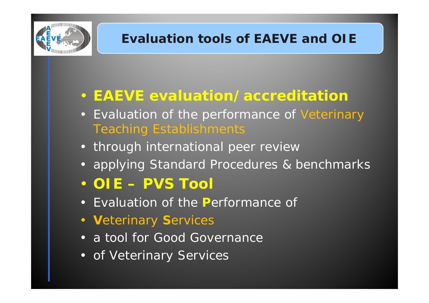

### **Evaluation tools of EAEVE and OIE**

## • **EAEVE evaluation/accreditation**

- Evaluation of the performance of Veterinary Teaching Establishments
- through international peer review
- applying Standard Procedures & benchmarks
- **OIE – PVS Tool**
- Evaluation of the **P**erformance of
- **V**eterinary **S**ervices
- a tool for Good Governance
- of Veterinary Services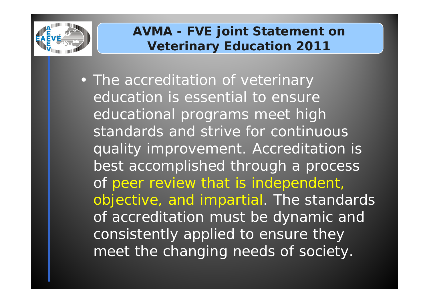

#### **AVMA - FVE joint Statement on Veterinary Education 2011**

• The accreditation of veterinary education is essential to ensure educational programs meet high standards and strive for continuous quality improvement. Accreditation is best accomplished through a process of peer review that is independent, objective, and impartial. The standards of accreditation must be dynamic and consistently applied to ensure they meet the changing needs of society.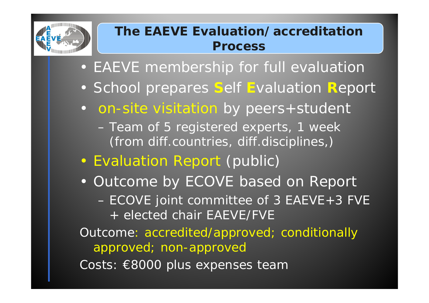

#### **The EAEVE Evaluation/accreditationProcess**

- EAEVE membership for full evaluation
- School prepares **S**elf **E**valuation **R**eport
- on-site visitation by peers+student
	- Team of 5 registered experts, 1 week (from diff.countries, diff.disciplines,)
- •Evaluation Report (public)
- Outcome by ECOVE based on Report
	- ECOVE joint committee of 3 EAEVE+3 FVE + elected chair EAEVE/FVE

Outcome: accredited/approved; conditionally approved; non-approved

Costs: €8000 plus expenses team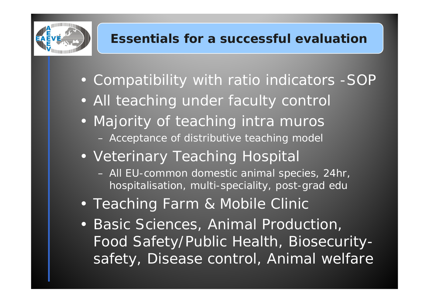

### **Essentials for a successful evaluation**

- Compatibility with ratio indicators -SOP
- All teaching under faculty control
- Majority of teaching intra muros Acceptance of distributive teaching model
- Veterinary Teaching Hospital
	- All EU-common domestic animal species, 24hr, hospitalisation, multi-speciality, post-grad edu
- Teaching Farm & Mobile Clinic
- Basic Sciences, Animal Production, Food Safety/Public Health, Biosecuritysafety, Disease control, Animal welfare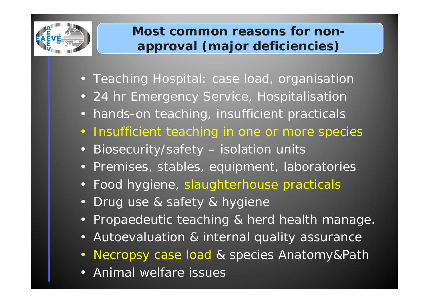

#### **Most common reasons for nonapproval (major deficiencies)**

- Teaching Hospital: case load, organisation
- 24 hr Emergency Service, Hospitalisation
- •hands-on teaching, insufficient practicals
- $\bullet$ Insufficient teaching in one or more species
- •Biosecurity/safety – isolation units
- Premises, stables, equipment, laboratories
- Food hygiene, slaughterhouse practicals
- •Drug use & safety & hygiene
- •Propaedeutic teaching & herd health manage.
- •Autoevaluation & internal quality assurance
- $\bullet$ Necropsy case load & species Anatomy&Path
- r. Animal welfare issues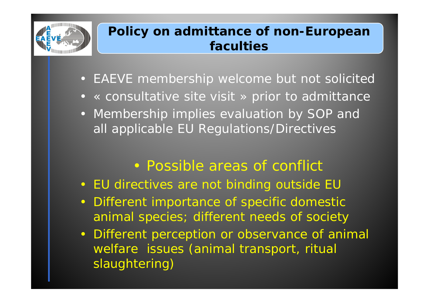

#### **Policy on admittance of non-European faculties**

- EAEVE membership welcome but not solicited
- « consultative site visit » prior to admittance
- Membership implies evaluation by SOP and all applicable EU Regulations/Directives
	- Possible areas of conflict
- EU directives are not binding outside EU
- $\bullet$  Different importance of specific domestic animal species; different needs of society
- • Different perception or observance of animal welfare issues (animal transport, ritual slaughtering)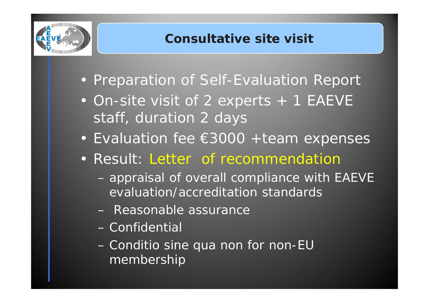

- Preparation of Self-Evaluation Report
- On-site visit of 2 experts + 1 EAEVE staff, duration 2 days
- Evaluation fee €3000 +team expenses
- Result: Letter of recommendation
	- *appraisal of overall compliance with EAEVE evaluation/accreditation standards*
	- *Reasonable assurance*
	- *Confidential*
	- – *Conditio sine qua non for non-EU membership*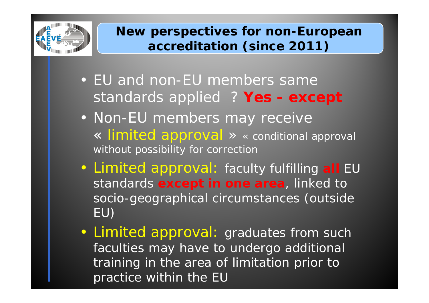

#### **New perspectives for non-European accreditation (since 2011)**

- EU and non-EU members samestandards applied ? Yes - except
- Non-EU members may receive « limited approval » *« conditional approval without possibility for correction*
- Limited approval: *faculty fulfilling all EU standards except in one area, linked to socio-geographical circumstances (outside EU)*
- Limited approval: *graduates from such faculties may have to undergo additional training in the area of limitation prior to practice within the EU*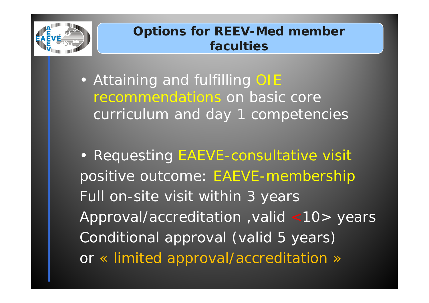

#### **Options for REEV-Med member faculties**

• Attaining and fulfilling OIE recommendations on basic core curriculum and day 1 competencies

• Requesting EAEVE-consultative visit positive outcome: EAEVE-membership Full on-site visit within 3 years Approval/accreditation ,valid <10> years Conditional approval (valid 5 years) or « limited approval/accreditation »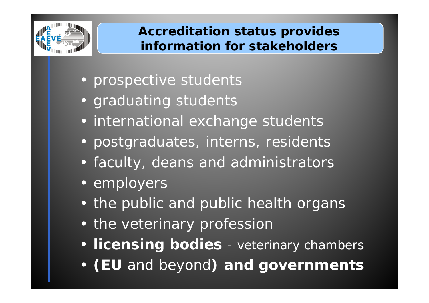

#### **Accreditation status provides information for stakeholders**

- prospective students
- graduating students
- international exchange students
- postgraduates, interns, residents
- faculty, deans and administrators
- employers
- the public and public health organs
- the veterinary profession
- **licensing bodies**  veterinary chambers
- •**(EU** *and beyond***) and governments**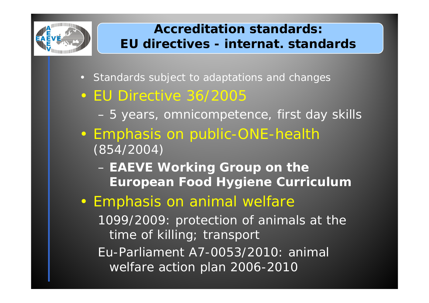

#### **Accreditation standards:EU directives - internat. standards**

- *Standards subject to adaptations and changes*
- EU Directive 36/2005
	- *5 years, omnicompetence, first day skills*
- Emphasis on public-ONE-health *(854/2004)* 
	- **EAEVE Working Group on the European Food Hygiene Curriculum**
- Emphasis on animal welfare

1099/2009: protection of animals at the time of killing; transport Eu-Parliament A7-0053/2010: animal welfare action plan 2006-2010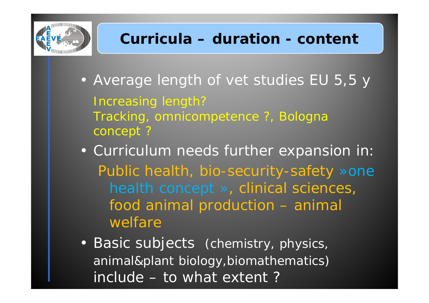

- Average length of vet studies EU 5,5 y Increasing length? Tracking, omnicompetence ?, Bologna concept ?
- Curriculum needs further expansion in: *Public health, bio-security-safety »one health concept », clinical sciences, food animal production – animal welfare*
- Basic subjects *(chemistry, physics, animal&plant biology,biomathematics)* include – to what extent ?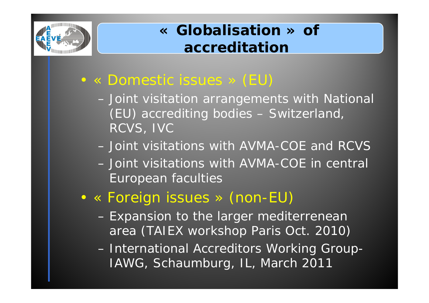

# **« Globalisation » of accreditation**

- • « Domestic issues » (EU)
	- – *Joint visitation arrangements with National (EU) accrediting bodies* – Switzerland, RCVS, IVC
	- *Joint visitations with AVMA-COE and RCVS*
	- *Joint visitations with AVMA-COE in central European faculties*
- • « Foreign issues » (non-EU)
	- *Expansion to the larger mediterrenean area (TAIEX workshop Paris Oct. 2010)*

– *International Accreditors Working Group-IAWG, Schaumburg, IL, March 2011*